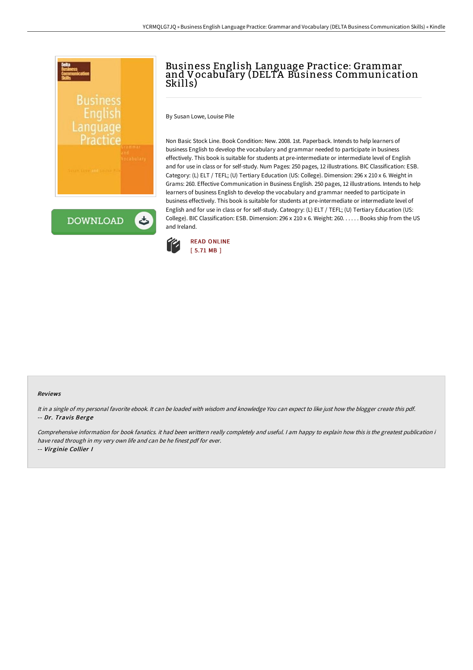

## Business English Language Practice: Grammar and Vocabulary (DELTA Business Communication Skills)

By Susan Lowe, Louise Pile

Non Basic Stock Line. Book Condition: New. 2008. 1st. Paperback. Intends to help learners of business English to develop the vocabulary and grammar needed to participate in business effectively. This book is suitable for students at pre-intermediate or intermediate level of English and for use in class or for self-study. Num Pages: 250 pages, 12 illustrations. BIC Classification: ESB. Category: (L) ELT / TEFL; (U) Tertiary Education (US: College). Dimension: 296 x 210 x 6. Weight in Grams: 260. Effective Communication in Business English. 250 pages, 12 illustrations. Intends to help learners of business English to develop the vocabulary and grammar needed to participate in business effectively. This book is suitable for students at pre-intermediate or intermediate level of English and for use in class or for self-study. Cateogry: (L) ELT / TEFL; (U) Tertiary Education (US: College). BIC Classification: ESB. Dimension: 296 x 210 x 6. Weight: 260. . . . . . Books ship from the US and Ireland.



## Reviews

It in <sup>a</sup> single of my personal favorite ebook. It can be loaded with wisdom and knowledge You can expect to like just how the blogger create this pdf. -- Dr. Travis Berge

Comprehensive information for book fanatics. it had been writtern really completely and useful. <sup>I</sup> am happy to explain how this is the greatest publication i have read through in my very own life and can be he finest pdf for ever. -- Virginie Collier I